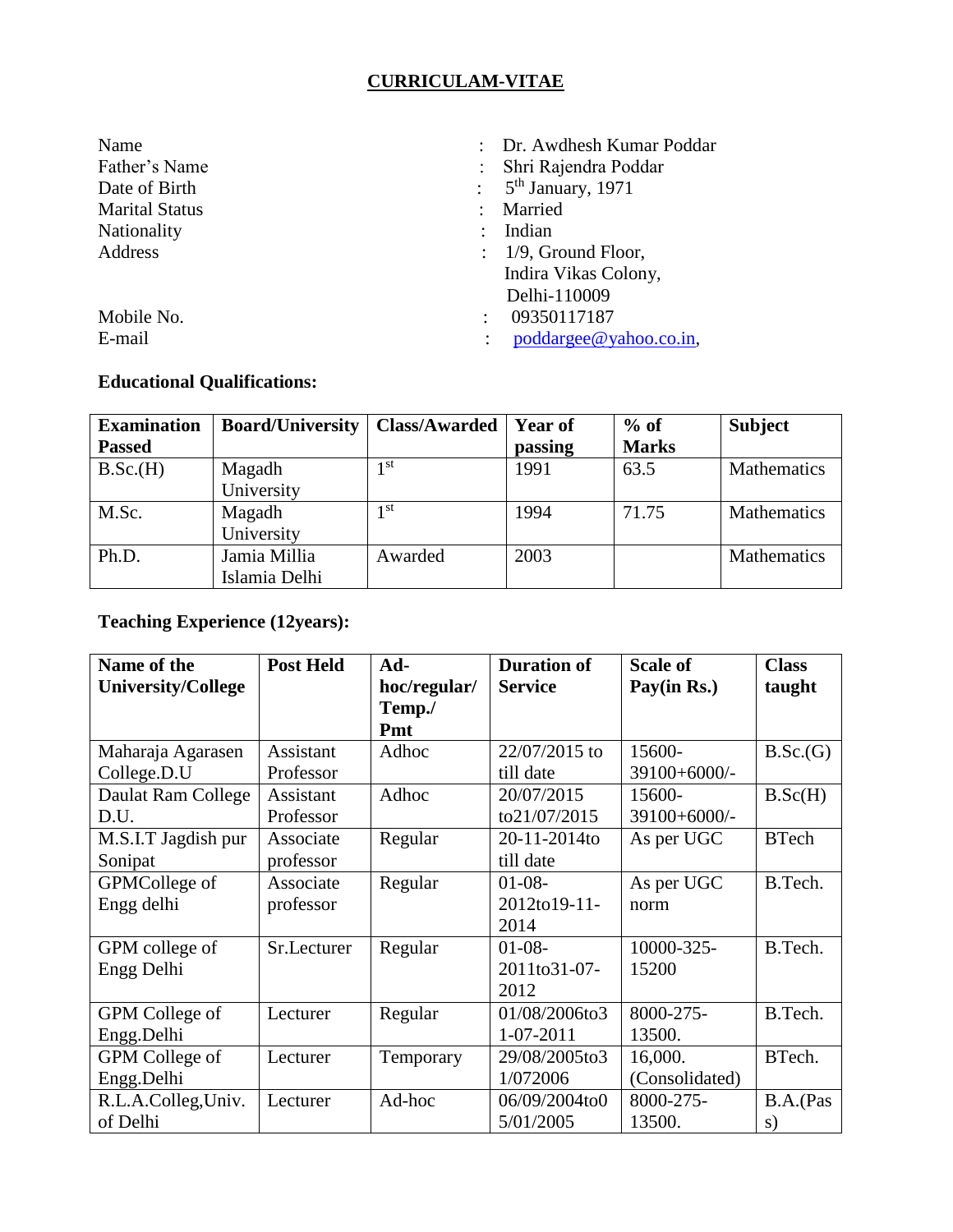# **CURRICULAM-VITAE**

| Name                  | : Dr. Awdhesh Kumar Poddar                 |
|-----------------------|--------------------------------------------|
| Father's Name         | Shri Rajendra Poddar                       |
| Date of Birth         | $\therefore$ 5 <sup>th</sup> January, 1971 |
| <b>Marital Status</b> | Married                                    |
| Nationality           | Indian                                     |
| Address               | $\therefore$ 1/9, Ground Floor,            |
|                       | Indira Vikas Colony,                       |
|                       | Delhi-110009                               |
| Mobile No.            | 09350117187                                |
| E-mail                | poddargee@yahoo.co.in,                     |

#### **Educational Qualifications:**

| <b>Examination</b> | <b>Board/University</b> | Class/Awarded | <b>Year of</b> | $%$ of       | <b>Subject</b>     |
|--------------------|-------------------------|---------------|----------------|--------------|--------------------|
| <b>Passed</b>      |                         |               | passing        | <b>Marks</b> |                    |
| B.Sc.(H)           | Magadh                  | 1 st          | 1991           | 63.5         | Mathematics        |
|                    | University              |               |                |              |                    |
| M.Sc.              | Magadh                  | 1 st          | 1994           | 71.75        | <b>Mathematics</b> |
|                    | University              |               |                |              |                    |
| Ph.D.              | Jamia Millia            | Awarded       | 2003           |              | <b>Mathematics</b> |
|                    | Islamia Delhi           |               |                |              |                    |

# **Teaching Experience (12years):**

| Name of the               | <b>Post Held</b> | Ad-          | <b>Duration of</b> | <b>Scale of</b> | <b>Class</b> |
|---------------------------|------------------|--------------|--------------------|-----------------|--------------|
| <b>University/College</b> |                  | hoc/regular/ | <b>Service</b>     | Pay(in Rs.)     | taught       |
|                           |                  | Temp./       |                    |                 |              |
|                           |                  | Pmt          |                    |                 |              |
| Maharaja Agarasen         | Assistant        | Adhoc        | 22/07/2015 to      | 15600-          | B.Sc.(G)     |
| College.D.U               | Professor        |              | till date          | 39100+6000/-    |              |
| Daulat Ram College        | Assistant        | Adhoc        | 20/07/2015         | 15600-          | B.Sc(H)      |
| D.U.                      | Professor        |              | to21/07/2015       | 39100+6000/-    |              |
| M.S.I.T Jagdish pur       | Associate        | Regular      | 20-11-2014to       | As per UGC      | <b>BTech</b> |
| Sonipat                   | professor        |              | till date          |                 |              |
| GPMCollege of             | Associate        | Regular      | $01-08-$           | As per UGC      | B.Tech.      |
| Engg delhi                | professor        |              | 2012to19-11-       | norm            |              |
|                           |                  |              | 2014               |                 |              |
| GPM college of            | Sr.Lecturer      | Regular      | $01-08-$           | 10000-325-      | B.Tech.      |
| Engg Delhi                |                  |              | 2011to31-07-       | 15200           |              |
|                           |                  |              | 2012               |                 |              |
| GPM College of            | Lecturer         | Regular      | 01/08/2006to3      | 8000-275-       | B.Tech.      |
| Engg.Delhi                |                  |              | $1 - 07 - 2011$    | 13500.          |              |
| GPM College of            | Lecturer         | Temporary    | 29/08/2005to3      | 16,000.         | BTech.       |
| Engg.Delhi                |                  |              | 1/072006           | (Consolidated)  |              |
| R.L.A.Colleg,Univ.        | Lecturer         | Ad-hoc       | 06/09/2004to0      | 8000-275-       | B.A.(Pas     |
| of Delhi                  |                  |              | 5/01/2005          | 13500.          | S)           |